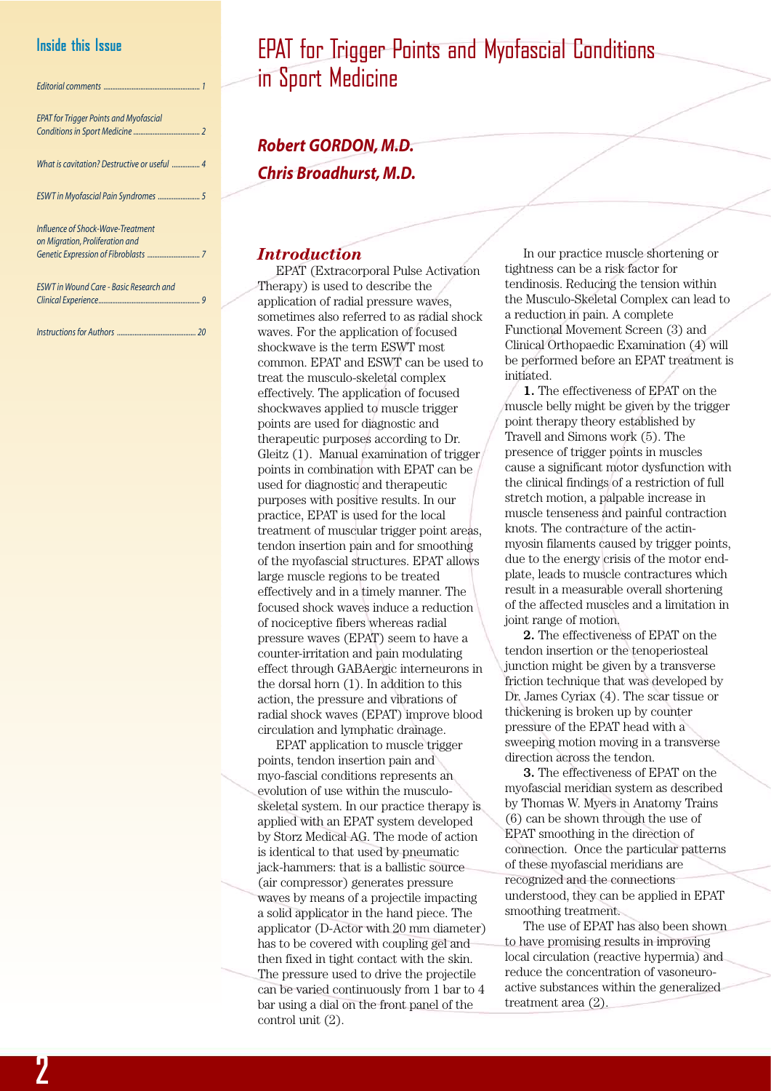## **Inside this Issue**

| <b>EPAT for Trigger Points and Myofascial</b>                        |  |
|----------------------------------------------------------------------|--|
| What is cavitation? Destructive or useful  4                         |  |
|                                                                      |  |
| Influence of Shock-Wave-Treatment<br>on Migration, Proliferation and |  |
| <b>ESWT in Wound Care - Basic Research and</b>                       |  |

*Instructions for Authors ............................................. 20*

# EPAT for Trigger Points and Myofascial Conditions in Sport Medicine

*Robert GORDON, M.D. Chris Broadhurst, M.D.*

#### *Introduction*

EPAT (Extracorporal Pulse Activation Therapy) is used to describe the application of radial pressure waves, sometimes also referred to as radial shock waves. For the application of focused shockwave is the term ESWT most common. EPAT and ESWT can be used to treat the musculo-skeletal complex effectively. The application of focused shockwaves applied to muscle trigger points are used for diagnostic and therapeutic purposes according to Dr. Gleitz (1). Manual examination of trigger points in combination with EPAT can be used for diagnostic and therapeutic purposes with positive results. In our practice, EPAT is used for the local treatment of muscular trigger point areas, tendon insertion pain and for smoothing of the myofascial structures. EPAT allows large muscle regions to be treated effectively and in a timely manner. The focused shock waves induce a reduction of nociceptive fibers whereas radial pressure waves (EPAT) seem to have a counter-irritation and pain modulating effect through GABAergic interneurons in the dorsal horn (1). In addition to this action, the pressure and vibrations of radial shock waves (EPAT) improve blood circulation and lymphatic drainage.

EPAT application to muscle trigger points, tendon insertion pain and myo-fascial conditions represents an evolution of use within the musculoskeletal system. In our practice therapy is applied with an EPAT system developed by Storz Medical AG. The mode of action is identical to that used by pneumatic jack-hammers: that is a ballistic source (air compressor) generates pressure waves by means of a projectile impacting a solid applicator in the hand piece. The applicator (D-Actor with 20 mm diameter) has to be covered with coupling gel and then fixed in tight contact with the skin. The pressure used to drive the projectile can be varied continuously from 1 bar to 4 bar using a dial on the front panel of the control unit (2).

In our practice muscle shortening or tightness can be a risk factor for tendinosis. Reducing the tension within the Musculo-Skeletal Complex can lead to a reduction in pain. A complete Functional Movement Screen (3) and Clinical Orthopaedic Examination (4) will be performed before an EPAT treatment is initiated.

**1.** The effectiveness of EPAT on the muscle belly might be given by the trigger point therapy theory established by Travell and Simons work (5). The presence of trigger points in muscles cause a significant motor dysfunction with the clinical findings of a restriction of full stretch motion, a palpable increase in muscle tenseness and painful contraction knots. The contracture of the actinmyosin filaments caused by trigger points, due to the energy crisis of the motor endplate, leads to muscle contractures which result in a measurable overall shortening of the affected muscles and a limitation in joint range of motion.

**2.** The effectiveness of EPAT on the tendon insertion or the tenoperiosteal junction might be given by a transverse friction technique that was developed by Dr. James Cyriax (4). The scar tissue or thickening is broken up by counter pressure of the EPAT head with a sweeping motion moving in a transverse direction across the tendon.

**3.** The effectiveness of EPAT on the myofascial meridian system as described by Thomas W. Myers in Anatomy Trains (6) can be shown through the use of EPAT smoothing in the direction of connection. Once the particular patterns of these myofascial meridians are recognized and the connections understood, they can be applied in EPAT smoothing treatment.

The use of EPAT has also been shown to have promising results in improving local circulation (reactive hypermia) and reduce the concentration of vasoneuroactive substances within the generalized treatment area (2).